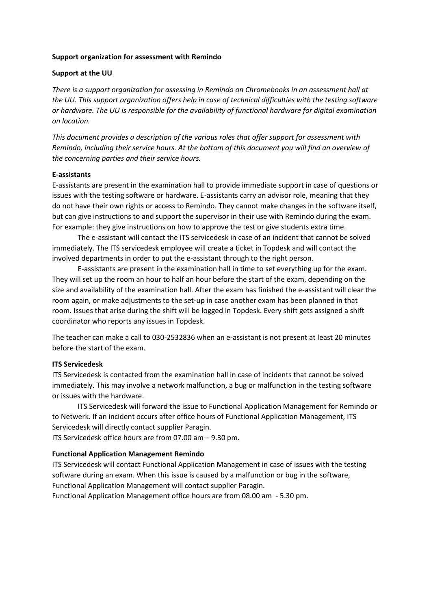### **Support organization for assessment with Remindo**

### **Support at the UU**

*There is a support organization for assessing in Remindo on Chromebooks in an assessment hall at the UU. This support organization offers help in case of technical difficulties with the testing software or hardware. The UU is responsible for the availability of functional hardware for digital examination on location.*

*This document provides a description of the various roles that offer support for assessment with Remindo, including their service hours. At the bottom of this document you will find an overview of the concerning parties and their service hours.*

#### **E-assistants**

E-assistants are present in the examination hall to provide immediate support in case of questions or issues with the testing software or hardware. E-assistants carry an advisor role, meaning that they do not have their own rights or access to Remindo. They cannot make changes in the software itself, but can give instructions to and support the supervisor in their use with Remindo during the exam. For example: they give instructions on how to approve the test or give students extra time.

The e-assistant will contact the ITS servicedesk in case of an incident that cannot be solved immediately. The ITS servicedesk employee will create a ticket in Topdesk and will contact the involved departments in order to put the e-assistant through to the right person.

E-assistants are present in the examination hall in time to set everything up for the exam. They will set up the room an hour to half an hour before the start of the exam, depending on the size and availability of the examination hall. After the exam has finished the e-assistant will clear the room again, or make adjustments to the set-up in case another exam has been planned in that room. Issues that arise during the shift will be logged in Topdesk. Every shift gets assigned a shift coordinator who reports any issues in Topdesk.

The teacher can make a call to 030-2532836 when an e-assistant is not present at least 20 minutes before the start of the exam.

#### **ITS Servicedesk**

ITS Servicedesk is contacted from the examination hall in case of incidents that cannot be solved immediately. This may involve a network malfunction, a bug or malfunction in the testing software or issues with the hardware.

ITS Servicedesk will forward the issue to Functional Application Management for Remindo or to Netwerk. If an incident occurs after office hours of Functional Application Management, ITS Servicedesk will directly contact supplier Paragin.

ITS Servicedesk office hours are from 07.00 am – 9.30 pm.

### **Functional Application Management Remindo**

ITS Servicedesk will contact Functional Application Management in case of issues with the testing software during an exam. When this issue is caused by a malfunction or bug in the software, Functional Application Management will contact supplier Paragin.

Functional Application Management office hours are from 08.00 am - 5.30 pm.